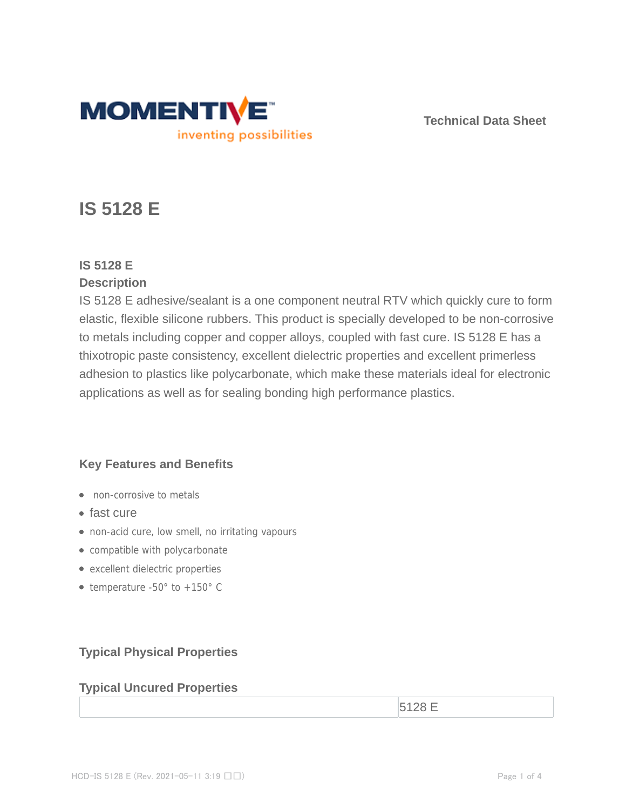

**Technical Data Sheet**

# **IS 5128 E**

# **IS 5128 E**

# **Description**

IS 5128 E adhesive/sealant is a one component neutral RTV which quickly cure to form elastic, flexible silicone rubbers. This product is specially developed to be non-corrosive to metals including copper and copper alloys, coupled with fast cure. IS 5128 E has a thixotropic paste consistency, excellent dielectric properties and excellent primerless adhesion to plastics like polycarbonate, which make these materials ideal for electronic applications as well as for sealing bonding high performance plastics.

# **Key Features and Benefits**

- non-corrosive to metals
- fast cure
- non-acid cure, low smell, no irritating vapours
- compatible with polycarbonate
- excellent dielectric properties
- temperature  $-50^\circ$  to  $+150^\circ$  C

# **Typical Physical Properties**

# **Typical Uncured Properties**

 $5128 \text{ E}$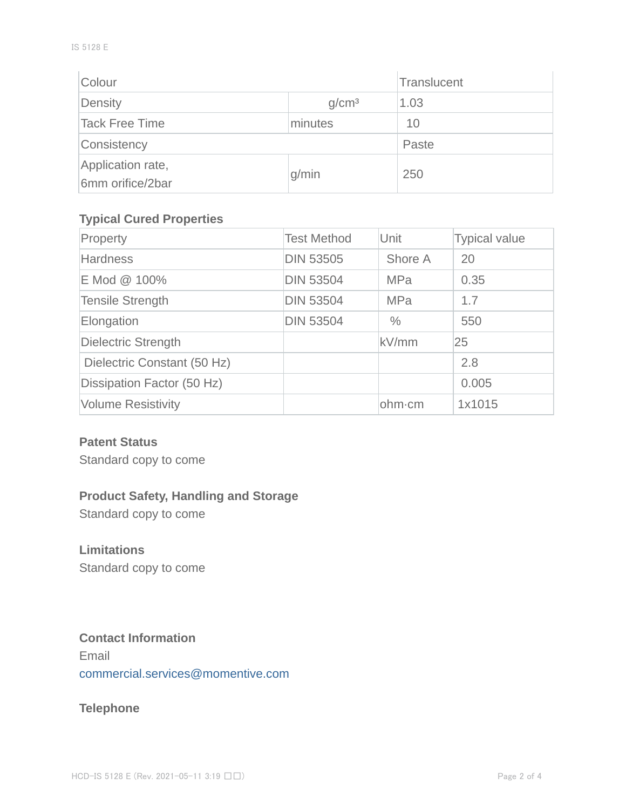| Colour                                |                   | Translucent |
|---------------------------------------|-------------------|-------------|
| Density                               | g/cm <sup>3</sup> | 1.03        |
| Tack Free Time                        | minutes           | 10          |
| Consistency                           | Paste             |             |
| Application rate,<br>6mm orifice/2bar | g/min             | 250         |

#### **Typical Cured Properties**

| Property                    | <b>Test Method</b> | Unit          | <b>Typical value</b> |
|-----------------------------|--------------------|---------------|----------------------|
| <b>Hardness</b>             | <b>DIN 53505</b>   | Shore A       | 20                   |
| E Mod @ 100%                | <b>DIN 53504</b>   | <b>MPa</b>    | 0.35                 |
| <b>Tensile Strength</b>     | <b>DIN 53504</b>   | <b>MPa</b>    | 1.7                  |
| Elongation                  | <b>DIN 53504</b>   | $\frac{0}{0}$ | 550                  |
| <b>Dielectric Strength</b>  |                    | kV/mm         | 25                   |
| Dielectric Constant (50 Hz) |                    |               | 2.8                  |
| Dissipation Factor (50 Hz)  |                    |               | 0.005                |
| <b>Volume Resistivity</b>   |                    | ohm-cm        | 1x1015               |

#### **Patent Status**

Standard copy to come

## **Product Safety, Handling and Storage**

Standard copy to come

#### **Limitations**

Standard copy to come

#### **Contact Information**

Email commercial.services@momentive.com

### **Telephone**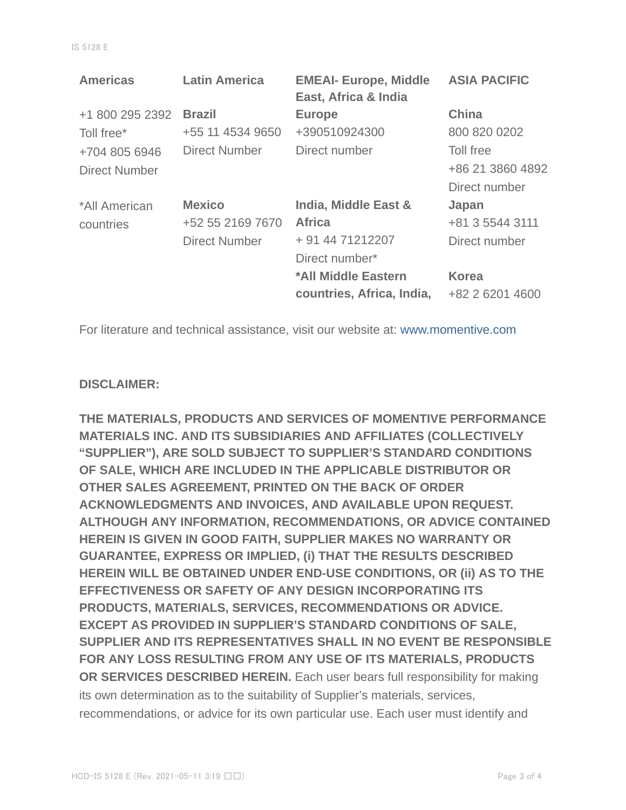| <b>Americas</b>      | <b>Latin America</b> | <b>EMEAI- Europe, Middle</b><br>East, Africa & India | <b>ASIA PACIFIC</b> |
|----------------------|----------------------|------------------------------------------------------|---------------------|
| +1 800 295 2392      | <b>Brazil</b>        | <b>Europe</b>                                        | <b>China</b>        |
| Toll free*           | +55 11 4534 9650     | +390510924300                                        | 800 820 0202        |
| +704 805 6946        | <b>Direct Number</b> | Direct number                                        | Toll free           |
| <b>Direct Number</b> |                      |                                                      | +86 21 3860 4892    |
|                      |                      |                                                      | Direct number       |
| *All American        | <b>Mexico</b>        | India, Middle East &                                 | Japan               |
| countries            | +52 55 2169 7670     | <b>Africa</b>                                        | +81 3 5544 3111     |
|                      | <b>Direct Number</b> | + 91 44 71212207                                     | Direct number       |
|                      |                      | Direct number*                                       |                     |
|                      |                      | *All Middle Eastern                                  | <b>Korea</b>        |
|                      |                      | countries, Africa, India,                            | +82 2 6201 4600     |

For literature and technical assistance, visit our website at: www.momentive.com

#### **DISCLAIMER:**

**THE MATERIALS, PRODUCTS AND SERVICES OF MOMENTIVE PERFORMANCE MATERIALS INC. AND ITS SUBSIDIARIES AND AFFILIATES (COLLECTIVELY "SUPPLIER"), ARE SOLD SUBJECT TO SUPPLIER'S STANDARD CONDITIONS OF SALE, WHICH ARE INCLUDED IN THE APPLICABLE DISTRIBUTOR OR OTHER SALES AGREEMENT, PRINTED ON THE BACK OF ORDER ACKNOWLEDGMENTS AND INVOICES, AND AVAILABLE UPON REQUEST. ALTHOUGH ANY INFORMATION, RECOMMENDATIONS, OR ADVICE CONTAINED HEREIN IS GIVEN IN GOOD FAITH, SUPPLIER MAKES NO WARRANTY OR GUARANTEE, EXPRESS OR IMPLIED, (i) THAT THE RESULTS DESCRIBED HEREIN WILL BE OBTAINED UNDER END-USE CONDITIONS, OR (ii) AS TO THE EFFECTIVENESS OR SAFETY OF ANY DESIGN INCORPORATING ITS PRODUCTS, MATERIALS, SERVICES, RECOMMENDATIONS OR ADVICE. EXCEPT AS PROVIDED IN SUPPLIER'S STANDARD CONDITIONS OF SALE, SUPPLIER AND ITS REPRESENTATIVES SHALL IN NO EVENT BE RESPONSIBLE FOR ANY LOSS RESULTING FROM ANY USE OF ITS MATERIALS, PRODUCTS OR SERVICES DESCRIBED HEREIN.** Each user bears full responsibility for making its own determination as to the suitability of Supplier's materials, services, recommendations, or advice for its own particular use. Each user must identify and